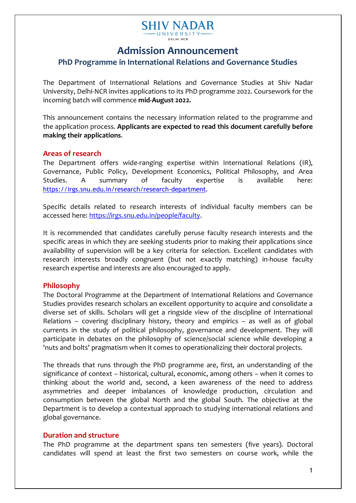#### **SHIV NADAR** - UNIVERSIT DELHI NCR

## **Admission Announcement**

## **PhD Programme in International Relations and Governance Studies**

The Department of International Relations and Governance Studies at Shiv Nadar University, Delhi-NCR invites applications to its PhD programme 2022. Coursework for the incoming batch will commence **mid-August 2022.** 

This announcement contains the necessary information related to the programme and the application process. **Applicants are expected to read this document carefully before making their applications**.

## **Areas of research**

The Department offers wide-ranging expertise within International Relations (IR), Governance, Public Policy, Development Economics, Political Philosophy, and Area Studies. A summary of faculty expertise is available here: <https://irgs.snu.edu.in/research/research-department>.

Specific details related to research interests of individual faculty members can be accessed here: [https://irgs.snu.edu.in/people/faculty.](https://irgs.snu.edu.in/people/faculty)

It is recommended that candidates carefully peruse faculty research interests and the specific areas in which they are seeking students prior to making their applications since availability of supervision will be a key criteria for selection. Excellent candidates with research interests broadly congruent (but not exactly matching) in-house faculty research expertise and interests are also encouraged to apply.

## **Philosophy**

The Doctoral Programme at the Department of International Relations and Governance Studies provides research scholars an excellent opportunity to acquire and consolidate a diverse set of skills. Scholars will get a ringside view of the discipline of International Relations – covering disciplinary history, theory and empirics – as well as of global currents in the study of political philosophy, governance and development. They will participate in debates on the philosophy of science/social science while developing a 'nuts and bolts' pragmatism when it comes to operationalizing their doctoral projects.

The threads that runs through the PhD programme are, first, an understanding of the significance of context – historical, cultural, economic, among others – when it comes to thinking about the world and, second, a keen awareness of the need to address asymmetries and deeper imbalances of knowledge production, circulation and consumption between the global North and the global South. The objective at the Department is to develop a contextual approach to studying international relations and global governance.

## **Duration and structure**

The PhD programme at the department spans ten semesters (five years). Doctoral candidates will spend at least the first two semesters on course work, while the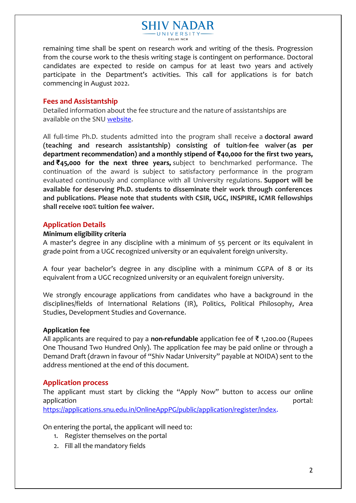# **SHIV NADAR** - UNIVERSI

remaining time shall be spent on research work and writing of the thesis. Progression from the course work to the thesis writing stage is contingent on performance. Doctoral candidates are expected to reside on campus for at least two years and actively participate in the Department's activities. This call for applications is for batch commencing in August 2022.

## **Fees and Assistantship**

Detailed information about the fee structure and the nature of assistantships are available on the SNU [website.](https://snu.edu.in/sites/default/files/Phd_Fee_Structure_2022.pdf)

All full-time Ph.D. students admitted into the program shall receive a **doctoral award (teaching and research assistantship) consisting of tuition-fee waiver (as per department recommendation) and a monthly stipend of ₹40,000 for the first two years, and ₹45,000 for the next three years,** subject to benchmarked performance. The continuation of the award is subject to satisfactory performance in the program evaluated continuously and compliance with all University regulations. **Support will be available for deserving Ph.D. students to disseminate their work through conferences and publications. Please note that students with CSIR, UGC, INSPIRE, ICMR fellowships shall receive 100% tuition fee waiver.**

## **Application Details**

#### **Minimum eligibility criteria**

A master's degree in any discipline with a minimum of 55 percent or its equivalent in grade point from a UGC recognized university or an equivalent foreign university.

A four year bachelor's degree in any discipline with a minimum CGPA of 8 or its equivalent from a UGC recognized university or an equivalent foreign university.

We strongly encourage applications from candidates who have a background in the disciplines/fields of International Relations (IR), Politics, Political Philosophy, Area Studies, Development Studies and Governance.

## **Application fee**

All applicants are required to pay a **non-refundable** application fee of ₹ 1,200.00 (Rupees One Thousand Two Hundred Only). The application fee may be paid online or through a Demand Draft (drawn in favour of "Shiv Nadar University" payable at NOIDA) sent to the address mentioned at the end of this document.

## **Application process**

The applicant must start by clicking the "Apply Now" button to access our online application **portal: portal: portal: portal: portal: portal: portal: portal: portal: portal: portal: portal: portal: portal: portal: portal: portal: portal: portal: portal: portal:** [https://applications.snu.edu.in/OnlineAppPG/public/application/register/index.](https://applications.snu.edu.in/OnlineAppPG/public/application/register/index)

On entering the portal, the applicant will need to:

- 1. Register themselves on the portal
- 2. Fill all the mandatory fields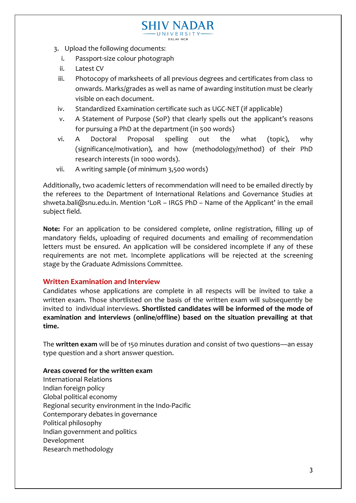- 3. Upload the following documents:
	- i. Passport-size colour photograph
	- ii. Latest CV
	- iii. Photocopy of marksheets of all previous degrees and certificates from class 10 onwards. Marks/grades as well as name of awarding institution must be clearly visible on each document.

**SHIV NADAR** UNIVERSITY DELHI NCR

- iv. Standardized Examination certificate such as UGC-NET (if applicable)
- v. A Statement of Purpose (SoP) that clearly spells out the applicant's reasons for pursuing a PhD at the department (in 500 words)
- vi. A Doctoral Proposal spelling out the what (topic), why (significance/motivation), and how (methodology/method) of their PhD research interests (in 1000 words).
- vii. A writing sample (of minimum 3,500 words)

Additionally, two academic letters of recommendation will need to be emailed directly by the referees to the Department of International Relations and Governance Studies at shweta.bali@snu.edu.in. Mention 'LoR – IRGS PhD – Name of the Applicant' in the email subject field.

**Note:** For an application to be considered complete, online registration, filling up of mandatory fields, uploading of required documents and emailing of recommendation letters must be ensured. An application will be considered incomplete if any of these requirements are not met. Incomplete applications will be rejected at the screening stage by the Graduate Admissions Committee.

## **Written Examination and Interview**

Candidates whose applications are complete in all respects will be invited to take a written exam. Those shortlisted on the basis of the written exam will subsequently be invited to individual interviews. **Shortlisted candidates will be informed of the mode of examination and interviews (online/offline) based on the situation prevailing at that time.**

The **written exam** will be of 150 minutes duration and consist of two questions—an essay type question and a short answer question.

#### **Areas covered for the written exam**

International Relations Indian foreign policy Global political economy Regional security environment in the Indo-Pacific Contemporary debates in governance Political philosophy Indian government and politics Development Research methodology